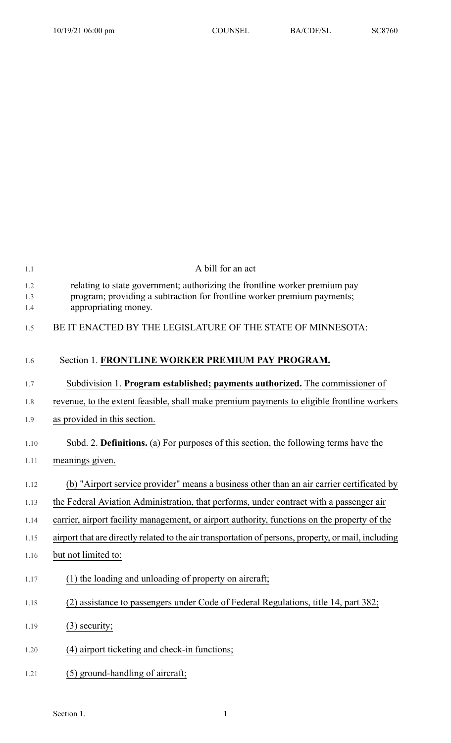| 1.1               | A bill for an act                                                                                                                                                             |
|-------------------|-------------------------------------------------------------------------------------------------------------------------------------------------------------------------------|
| 1.2<br>1.3<br>1.4 | relating to state government; authorizing the frontline worker premium pay<br>program; providing a subtraction for frontline worker premium payments;<br>appropriating money. |
| 1.5               | BE IT ENACTED BY THE LEGISLATURE OF THE STATE OF MINNESOTA:                                                                                                                   |
| 1.6               | Section 1. FRONTLINE WORKER PREMIUM PAY PROGRAM.                                                                                                                              |
| 1.7               | Subdivision 1. Program established; payments authorized. The commissioner of                                                                                                  |
| 1.8               | revenue, to the extent feasible, shall make premium payments to eligible frontline workers                                                                                    |
| 1.9               | as provided in this section.                                                                                                                                                  |
| 1.10              | Subd. 2. Definitions. (a) For purposes of this section, the following terms have the                                                                                          |
| 1.11              | meanings given.                                                                                                                                                               |
| 1.12              | (b) "Airport service provider" means a business other than an air carrier certificated by                                                                                     |
| 1.13              | the Federal Aviation Administration, that performs, under contract with a passenger air                                                                                       |
| 1.14              | carrier, airport facility management, or airport authority, functions on the property of the                                                                                  |
| 1.15              | airport that are directly related to the air transportation of persons, property, or mail, including                                                                          |
| 1.16              | but not limited to:                                                                                                                                                           |
| 1.17              | (1) the loading and unloading of property on aircraft;                                                                                                                        |
| 1.18              | (2) assistance to passengers under Code of Federal Regulations, title 14, part 382;                                                                                           |
| 1.19              | $(3)$ security;                                                                                                                                                               |
| 1.20              | (4) airport ticketing and check-in functions;                                                                                                                                 |
| 1.21              | (5) ground-handling of aircraft;                                                                                                                                              |

## Section 1. 1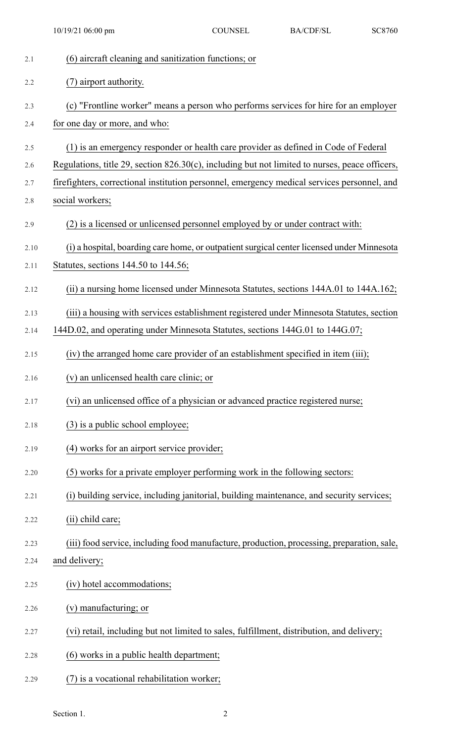2.1 (6) aircraft cleaning and sanitization functions; or 2.2 (7) airport authority. 2.3 (c) "Frontline worker" means a person who performs services for hire for an employer 2.4 for one day or more, and who: 2.5 (1) is an emergency responder or health care provider as defined in Code of Federal 2.6 Regulations, title 29, section 826.30(c), including but not limited to nurses, peace officers, 2.7 firefighters, correctional institution personnel, emergency medical services personnel, and 2.8 social workers; 2.9 (2) is a licensed or unlicensed personnel employed by or under contract with: 2.10 (i) a hospital, boarding care home, or outpatientsurgical center licensed under Minnesota 2.11 Statutes, sections 144.50 to 144.56; 2.12 (ii) a nursing home licensed under Minnesota Statutes, sections 144A.01 to 144A.162; 2.13 (iii) a housing with services establishment registered under Minnesota Statutes, section 2.14 144D.02, and operating under Minnesota Statutes, sections 144G.01 to 144G.07; 2.15 (iv) the arranged home care provider of an establishment specified in item (iii); 2.16 (v) an unlicensed health care clinic; or 2.17 (vi) an unlicensed office of a physician or advanced practice registered nurse; 2.18 (3) is a public school employee; 2.19 (4) works for an airport service provider; 2.20 (5) works for a private employer performing work in the following sectors: 2.21 (i) building service, including janitorial, building maintenance, and security services; 2.22 (ii) child care; 2.23 (iii) food service, including food manufacture, production, processing, preparation, sale, 2.24 and delivery; 2.25 (iv) hotel accommodations; 2.26 (v) manufacturing; or 2.27 (vi) retail, including but not limited to sales, fulfillment, distribution, and delivery; 2.28 (6) works in a public health department; 2.29 (7) is a vocational rehabilitation worker; 10/19/21 06:00 pm COUNSEL BA/CDF/SL SC8760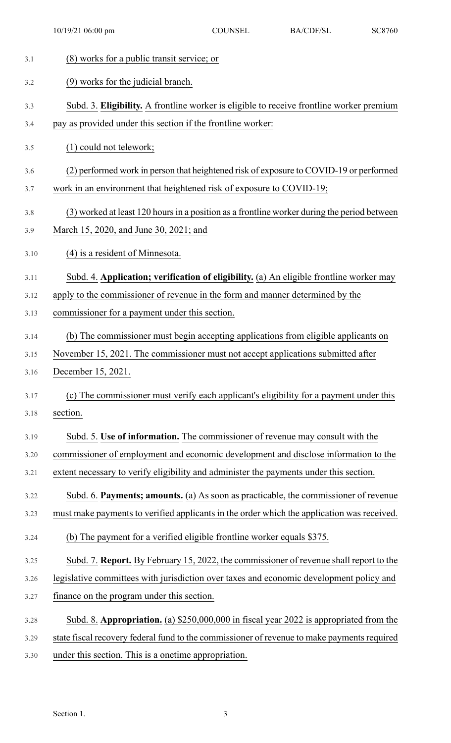| 3.1  | (8) works for a public transit service; or                                                  |
|------|---------------------------------------------------------------------------------------------|
| 3.2  | (9) works for the judicial branch.                                                          |
| 3.3  | Subd. 3. Eligibility. A frontline worker is eligible to receive frontline worker premium    |
| 3.4  | pay as provided under this section if the frontline worker:                                 |
| 3.5  | (1) could not telework;                                                                     |
| 3.6  | (2) performed work in person that heightened risk of exposure to COVID-19 or performed      |
| 3.7  | work in an environment that heightened risk of exposure to COVID-19;                        |
| 3.8  | (3) worked at least 120 hours in a position as a frontline worker during the period between |
| 3.9  | March 15, 2020, and June 30, 2021; and                                                      |
| 3.10 | (4) is a resident of Minnesota.                                                             |
| 3.11 | Subd. 4. Application; verification of eligibility. (a) An eligible frontline worker may     |
| 3.12 | apply to the commissioner of revenue in the form and manner determined by the               |
| 3.13 | commissioner for a payment under this section.                                              |
| 3.14 | (b) The commissioner must begin accepting applications from eligible applicants on          |
| 3.15 | November 15, 2021. The commissioner must not accept applications submitted after            |
| 3.16 | December 15, 2021.                                                                          |
| 3.17 | (c) The commissioner must verify each applicant's eligibility for a payment under this      |
| 3.18 | section.                                                                                    |
| 3.19 | Subd. 5. Use of information. The commissioner of revenue may consult with the               |
| 3.20 | commissioner of employment and economic development and disclose information to the         |
| 3.21 | extent necessary to verify eligibility and administer the payments under this section.      |
| 3.22 | Subd. 6. Payments; amounts. (a) As soon as practicable, the commissioner of revenue         |
| 3.23 | must make payments to verified applicants in the order which the application was received.  |
| 3.24 | (b) The payment for a verified eligible frontline worker equals \$375.                      |
| 3.25 | Subd. 7. Report. By February 15, 2022, the commissioner of revenue shall report to the      |
| 3.26 | legislative committees with jurisdiction over taxes and economic development policy and     |
| 3.27 | finance on the program under this section.                                                  |
| 3.28 | Subd. 8. Appropriation. (a) \$250,000,000 in fiscal year 2022 is appropriated from the      |
| 3.29 | state fiscal recovery federal fund to the commissioner of revenue to make payments required |
| 3.30 | under this section. This is a onetime appropriation.                                        |